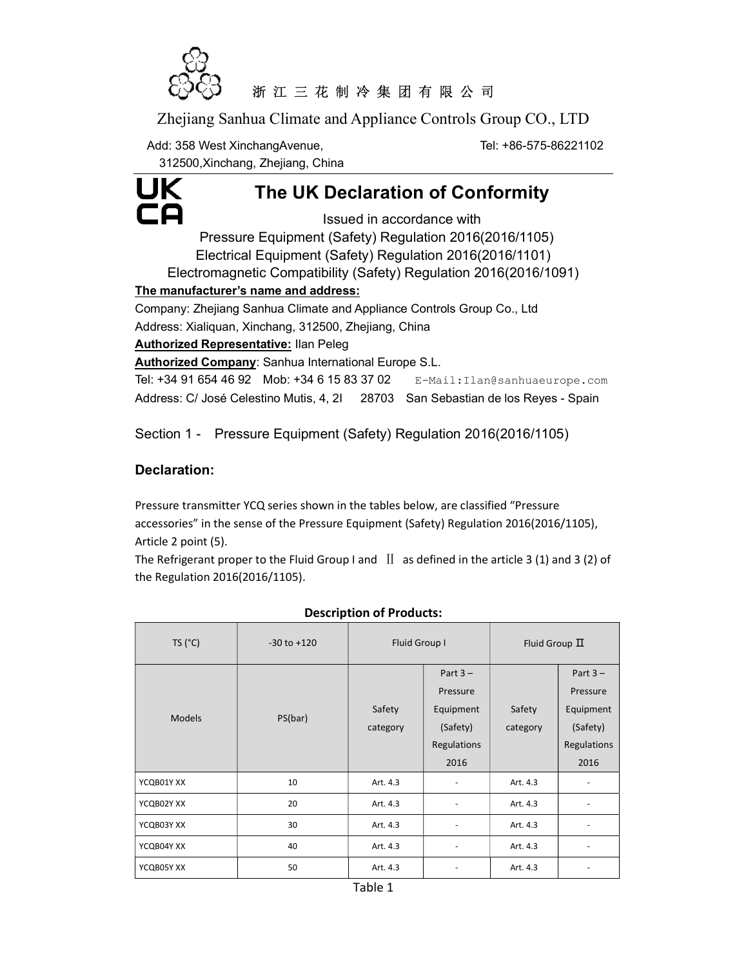

## 浙 江 三 花 制 冷 集 团 有 限 公 司

Zhejiang Sanhua Climate and Appliance Controls Group CO., LTD

Add: 358 West XinchangAvenue, The State of the Tel: +86-575-86221102

312500,Xinchang, Zhejiang, China



# The UK Declaration of Conformity

Issued in accordance with Pressure Equipment (Safety) Regulation 2016(2016/1105) Electrical Equipment (Safety) Regulation 2016(2016/1101) Electromagnetic Compatibility (Safety) Regulation 2016(2016/1091) The manufacturer's name and address: Company: Zhejiang Sanhua Climate and Appliance Controls Group Co., Ltd Address: Xialiquan, Xinchang, 312500, Zhejiang, China Authorized Representative: Ilan Peleg Authorized Company: Sanhua International Europe S.L. Tel: +34 91 654 46 92 Mob: +34 6 15 83 37 02 E-Mail:Ilan@sanhuaeurope.com Address: C/ José Celestino Mutis, 4, 2I 28703 San Sebastian de los Reyes - Spain

Section 1 - Pressure Equipment (Safety) Regulation 2016(2016/1105)

## Declaration:

Pressure transmitter YCQ series shown in the tables below, are classified "Pressure accessories" in the sense of the Pressure Equipment (Safety) Regulation 2016(2016/1105), Article 2 point (5).

The Refrigerant proper to the Fluid Group I and  $\text{II}$  as defined in the article 3 (1) and 3 (2) of the Regulation 2016(2016/1105).

| TS (°C)       | $-30$ to $+120$ | Fluid Group I      |                                                                        | Fluid Group $\Pi$  |                                                                        |
|---------------|-----------------|--------------------|------------------------------------------------------------------------|--------------------|------------------------------------------------------------------------|
| <b>Models</b> | PS(bar)         | Safety<br>category | Part $3 -$<br>Pressure<br>Equipment<br>(Safety)<br>Regulations<br>2016 | Safety<br>category | Part $3 -$<br>Pressure<br>Equipment<br>(Safety)<br>Regulations<br>2016 |
| YCQB01Y XX    | 10              | Art. 4.3           |                                                                        | Art. 4.3           |                                                                        |
| YCQB02Y XX    | 20              | Art. 4.3           |                                                                        | Art. 4.3           |                                                                        |
| YCQB03Y XX    | 30              | Art. 4.3           |                                                                        | Art. 4.3           | $\overline{\phantom{a}}$                                               |
| YCQB04Y XX    | 40              | Art. 4.3           |                                                                        | Art. 4.3           | $\overline{\phantom{a}}$                                               |
| YCQB05Y XX    | 50              | Art. 4.3           |                                                                        | Art. 4.3           |                                                                        |

#### Description of Products: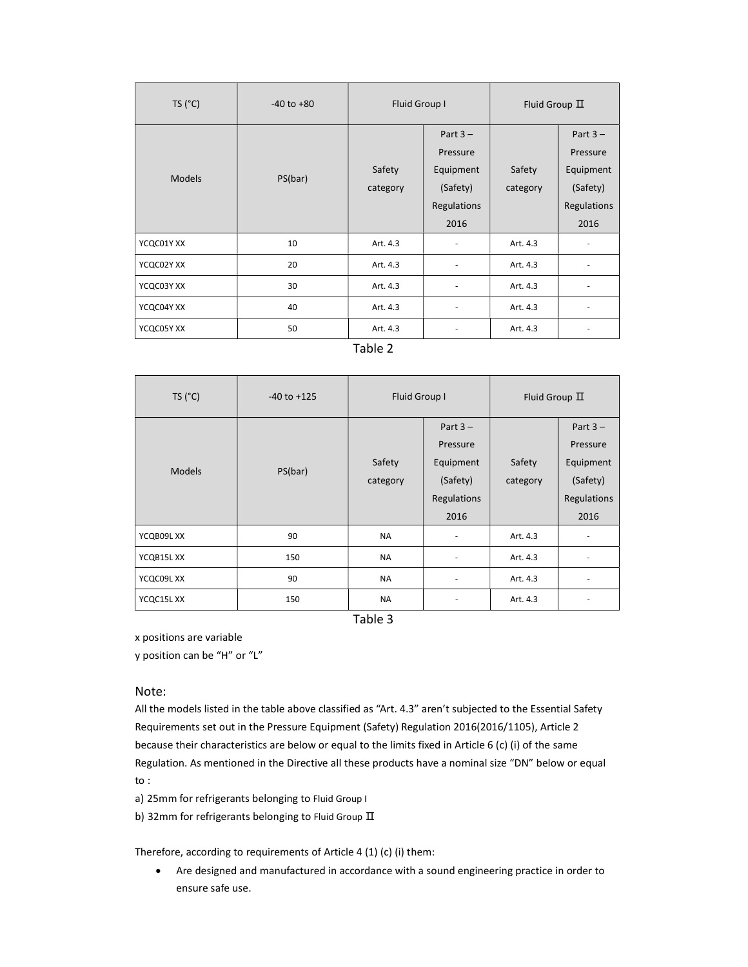| TS (°C)       | $-40$ to $+80$ | Fluid Group I      |                                                                        | Fluid Group $\Pi$  |                                                                        |
|---------------|----------------|--------------------|------------------------------------------------------------------------|--------------------|------------------------------------------------------------------------|
| <b>Models</b> | PS(bar)        | Safety<br>category | Part $3 -$<br>Pressure<br>Equipment<br>(Safety)<br>Regulations<br>2016 | Safety<br>category | Part $3 -$<br>Pressure<br>Equipment<br>(Safety)<br>Regulations<br>2016 |
| YCQC01Y XX    | 10             | Art. 4.3           |                                                                        | Art. 4.3           |                                                                        |
| YCQC02Y XX    | 20             | Art. 4.3           |                                                                        | Art. 4.3           |                                                                        |
| YCQC03Y XX    | 30             | Art. 4.3           |                                                                        | Art. 4.3           |                                                                        |
| YCQC04Y XX    | 40             | Art. 4.3           | ۰                                                                      | Art. 4.3           | ٠                                                                      |
| YCQC05Y XX    | 50             | Art. 4.3           |                                                                        | Art. 4.3           | $\overline{\phantom{a}}$                                               |

Table 2

| TS (°C)       | $-40$ to $+125$ | Fluid Group I      |                                                                        | Fluid Group $\Pi$  |                                                                        |
|---------------|-----------------|--------------------|------------------------------------------------------------------------|--------------------|------------------------------------------------------------------------|
| <b>Models</b> | PS(bar)         | Safety<br>category | Part $3 -$<br>Pressure<br>Equipment<br>(Safety)<br>Regulations<br>2016 | Safety<br>category | Part $3 -$<br>Pressure<br>Equipment<br>(Safety)<br>Regulations<br>2016 |
| YCQB09LXX     | 90              | <b>NA</b>          |                                                                        | Art. 4.3           |                                                                        |
| YCQB15L XX    | 150             | <b>NA</b>          |                                                                        | Art. 4.3           |                                                                        |
| YCQC09L XX    | 90              | <b>NA</b>          | ٠                                                                      | Art. 4.3           | ٠                                                                      |
| YCQC15L XX    | 150             | <b>NA</b>          | ٠                                                                      | Art. 4.3           | ٠                                                                      |

Table 3

x positions are variable

y position can be "H" or "L"

#### Note:

All the models listed in the table above classified as "Art. 4.3" aren't subjected to the Essential Safety Requirements set out in the Pressure Equipment (Safety) Regulation 2016(2016/1105), Article 2 because their characteristics are below or equal to the limits fixed in Article 6 (c) (i) of the same Regulation. As mentioned in the Directive all these products have a nominal size "DN" below or equal to :

a) 25mm for refrigerants belonging to Fluid Group I

b) 32mm for refrigerants belonging to Fluid Group  $\rm \Pi$ 

Therefore, according to requirements of Article 4 (1) (c) (i) them:

 Are designed and manufactured in accordance with a sound engineering practice in order to ensure safe use.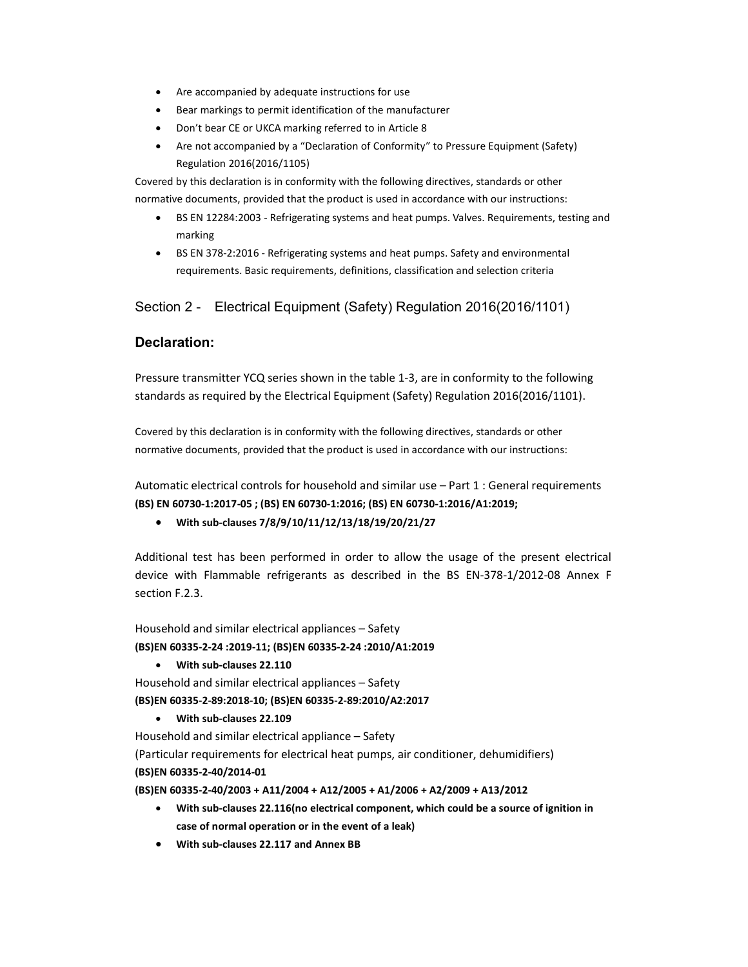- Are accompanied by adequate instructions for use
- Bear markings to permit identification of the manufacturer
- Don't bear CE or UKCA marking referred to in Article 8
- Are not accompanied by a "Declaration of Conformity" to Pressure Equipment (Safety) Regulation 2016(2016/1105)

Covered by this declaration is in conformity with the following directives, standards or other normative documents, provided that the product is used in accordance with our instructions:

- BS EN 12284:2003 Refrigerating systems and heat pumps. Valves. Requirements, testing and marking
- BS EN 378-2:2016 Refrigerating systems and heat pumps. Safety and environmental requirements. Basic requirements, definitions, classification and selection criteria

Section 2 - Electrical Equipment (Safety) Regulation 2016(2016/1101)

#### Declaration:

Pressure transmitter YCQ series shown in the table 1-3, are in conformity to the following standards as required by the Electrical Equipment (Safety) Regulation 2016(2016/1101).

Covered by this declaration is in conformity with the following directives, standards or other normative documents, provided that the product is used in accordance with our instructions:

Automatic electrical controls for household and similar use – Part 1 : General requirements (BS) EN 60730-1:2017-05 ; (BS) EN 60730-1:2016; (BS) EN 60730-1:2016/A1:2019;

With sub-clauses 7/8/9/10/11/12/13/18/19/20/21/27

Additional test has been performed in order to allow the usage of the present electrical device with Flammable refrigerants as described in the BS EN-378-1/2012-08 Annex F section F.2.3.

Household and similar electrical appliances – Safety (BS)EN 60335-2-24 :2019-11; (BS)EN 60335-2-24 :2010/A1:2019

With sub-clauses 22.110

Household and similar electrical appliances – Safety (BS)EN 60335-2-89:2018-10; (BS)EN 60335-2-89:2010/A2:2017

With sub-clauses 22.109

Household and similar electrical appliance – Safety

(Particular requirements for electrical heat pumps, air conditioner, dehumidifiers) (BS)EN 60335-2-40/2014-01

(BS)EN 60335-2-40/2003 + A11/2004 + A12/2005 + A1/2006 + A2/2009 + A13/2012

- With sub-clauses 22.116(no electrical component, which could be a source of ignition in case of normal operation or in the event of a leak)
- With sub-clauses 22.117 and Annex BB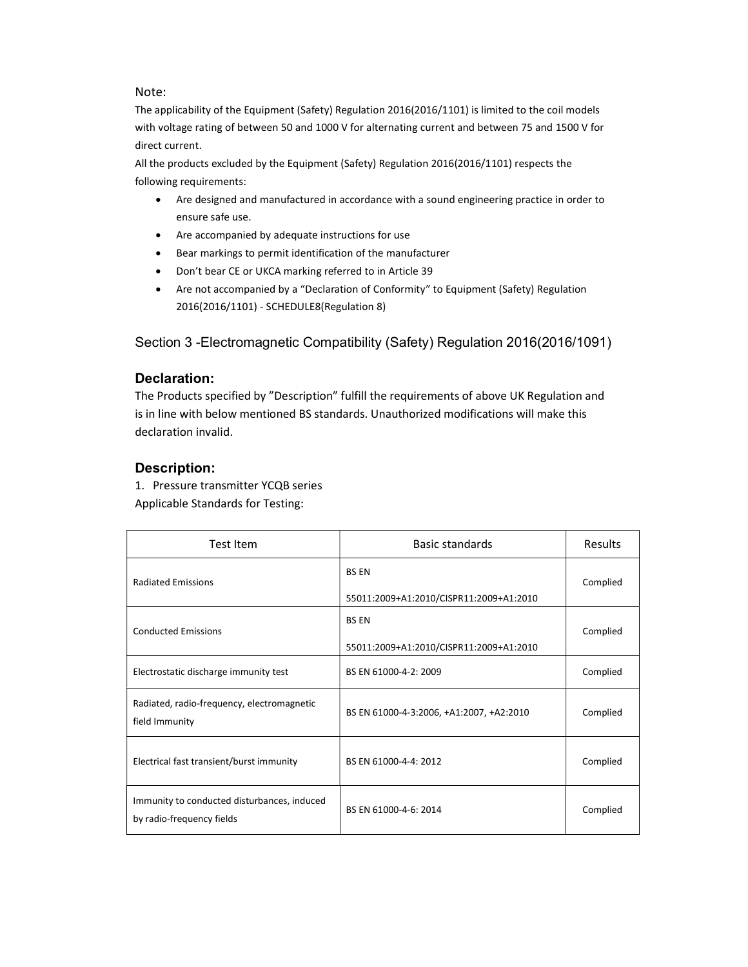#### Note:

The applicability of the Equipment (Safety) Regulation 2016(2016/1101) is limited to the coil models with voltage rating of between 50 and 1000 V for alternating current and between 75 and 1500 V for direct current.

All the products excluded by the Equipment (Safety) Regulation 2016(2016/1101) respects the following requirements:

- Are designed and manufactured in accordance with a sound engineering practice in order to ensure safe use.
- Are accompanied by adequate instructions for use
- Bear markings to permit identification of the manufacturer
- Don't bear CE or UKCA marking referred to in Article 39
- Are not accompanied by a "Declaration of Conformity" to Equipment (Safety) Regulation 2016(2016/1101) - SCHEDULE8(Regulation 8)

Section 3 -Electromagnetic Compatibility (Safety) Regulation 2016(2016/1091)

#### Declaration:

The Products specified by "Description" fulfill the requirements of above UK Regulation and is in line with below mentioned BS standards. Unauthorized modifications will make this declaration invalid.

### Description:

1. Pressure transmitter YCQB series

Applicable Standards for Testing:

| Test Item                                                                | <b>Basic standards</b>                                  | Results  |
|--------------------------------------------------------------------------|---------------------------------------------------------|----------|
| <b>Radiated Emissions</b>                                                | <b>BS EN</b><br>55011:2009+A1:2010/CISPR11:2009+A1:2010 | Complied |
| <b>Conducted Emissions</b>                                               | <b>BS EN</b><br>55011:2009+A1:2010/CISPR11:2009+A1:2010 | Complied |
| Electrostatic discharge immunity test                                    | BS EN 61000-4-2: 2009                                   | Complied |
| Radiated, radio-frequency, electromagnetic<br>field Immunity             | BS EN 61000-4-3:2006, +A1:2007, +A2:2010                | Complied |
| Electrical fast transient/burst immunity                                 | BS EN 61000-4-4: 2012                                   | Complied |
| Immunity to conducted disturbances, induced<br>by radio-frequency fields | BS EN 61000-4-6: 2014                                   | Complied |